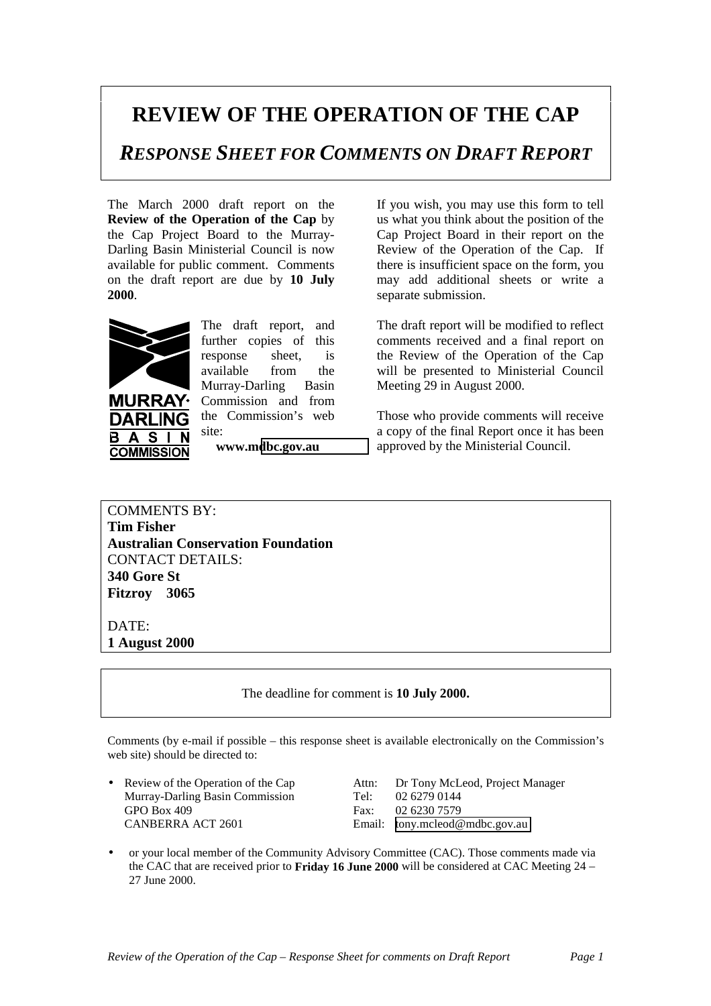## **REVIEW OF THE OPERATION OF THE CAP**

*RESPONSE SHEET FOR COMMENTS ON DRAFT REPORT*

The March 2000 draft report on the **Review of the Operation of the Cap** by the Cap Project Board to the Murray-Darling Basin Ministerial Council is now available for public comment. Comments on the draft report are due by **10 July 2000**.



**URRAY DARLING** 

**COMMISSION** 

 $\mathbf{A}$ **S** 

B

The draft report, and further copies of this response sheet, is available from the Murray-Darling Basin Commission and from the Commission's web site:

**www.m[dbc.gov.au](http://www.mdbc.gov.au/)**

If you wish, you may use this form to tell us what you think about the position of the Cap Project Board in their report on the Review of the Operation of the Cap. If there is insufficient space on the form, you may add additional sheets or write a separate submission.

The draft report will be modified to reflect comments received and a final report on the Review of the Operation of the Cap will be presented to Ministerial Council Meeting 29 in August 2000.

Those who provide comments will receive a copy of the final Report once it has been approved by the Ministerial Council.

COMMENTS BY: **Tim Fisher Australian Conservation Foundation** CONTACT DETAILS: **340 Gore St Fitzroy 3065**

## DATE:

**1 August 2000**

The deadline for comment is **10 July 2000.**

Comments (by e-mail if possible – this response sheet is available electronically on the Commission's web site) should be directed to:

Murray-Darling Basin Commission Tel: 02 6279 0144 GPO Box 409 Fax: 02 6230 7579 CANBERRA ACT 2601 Email: [tony.mcleod@mdbc.gov.au](mailto:tony.mcleod@mdbc.gov.au)

• Review of the Operation of the Cap Attn: Dr Tony McLeod, Project Manager

• or your local member of the Community Advisory Committee (CAC). Those comments made via the CAC that are received prior to **Friday 16 June 2000** will be considered at CAC Meeting 24 – 27 June 2000.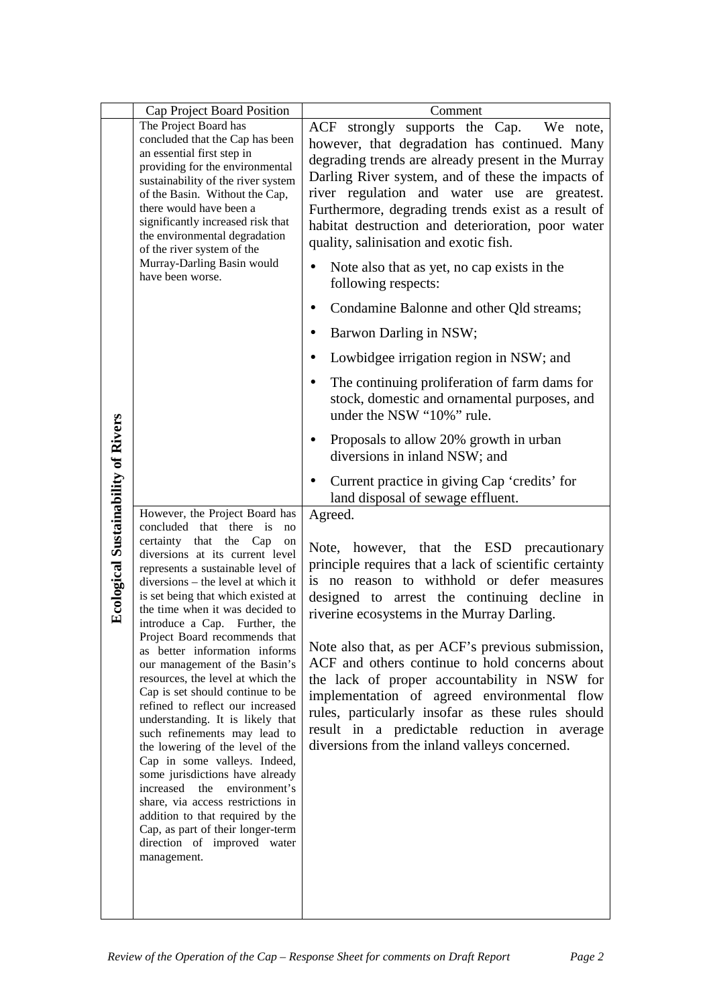|                                            | Cap Project Board Position                                                                                                                                                                                                                                                                                                                                                                                                                                                                                                                                                                                                                                                                                                                                                                                                                                                                                               | Comment                                                                                                                                                                                                                                                                                                                                                                                                                                                                                                                                                                                                                                                                                                                                                                                                                                                                                                                                                                                                                                                                                                                               |
|--------------------------------------------|--------------------------------------------------------------------------------------------------------------------------------------------------------------------------------------------------------------------------------------------------------------------------------------------------------------------------------------------------------------------------------------------------------------------------------------------------------------------------------------------------------------------------------------------------------------------------------------------------------------------------------------------------------------------------------------------------------------------------------------------------------------------------------------------------------------------------------------------------------------------------------------------------------------------------|---------------------------------------------------------------------------------------------------------------------------------------------------------------------------------------------------------------------------------------------------------------------------------------------------------------------------------------------------------------------------------------------------------------------------------------------------------------------------------------------------------------------------------------------------------------------------------------------------------------------------------------------------------------------------------------------------------------------------------------------------------------------------------------------------------------------------------------------------------------------------------------------------------------------------------------------------------------------------------------------------------------------------------------------------------------------------------------------------------------------------------------|
|                                            | The Project Board has<br>concluded that the Cap has been<br>an essential first step in<br>providing for the environmental<br>sustainability of the river system<br>of the Basin. Without the Cap,<br>there would have been a<br>significantly increased risk that<br>the environmental degradation<br>of the river system of the<br>Murray-Darling Basin would                                                                                                                                                                                                                                                                                                                                                                                                                                                                                                                                                           | ACF strongly supports the Cap. We note,<br>however, that degradation has continued. Many<br>degrading trends are already present in the Murray<br>Darling River system, and of these the impacts of<br>river regulation and water use are greatest.<br>Furthermore, degrading trends exist as a result of<br>habitat destruction and deterioration, poor water<br>quality, salinisation and exotic fish.                                                                                                                                                                                                                                                                                                                                                                                                                                                                                                                                                                                                                                                                                                                              |
| <b>Ecological Sustainability of Rivers</b> | have been worse.<br>However, the Project Board has<br>concluded that there is<br>no<br>certainty<br>that the Cap<br>on<br>diversions at its current level<br>represents a sustainable level of<br>diversions – the level at which it<br>is set being that which existed at<br>the time when it was decided to<br>introduce a Cap. Further, the<br>Project Board recommends that<br>as better information informs<br>our management of the Basin's<br>resources, the level at which the<br>Cap is set should continue to be<br>refined to reflect our increased<br>understanding. It is likely that<br>such refinements may lead to<br>the lowering of the level of the<br>Cap in some valleys. Indeed,<br>some jurisdictions have already<br>increased the<br>environment's<br>share, via access restrictions in<br>addition to that required by the<br>Cap, as part of their longer-term<br>direction of improved water | Note also that as yet, no cap exists in the<br>following respects:<br>Condamine Balonne and other Qld streams;<br>Barwon Darling in NSW;<br>$\bullet$<br>Lowbidgee irrigation region in NSW; and<br>The continuing proliferation of farm dams for<br>$\bullet$<br>stock, domestic and ornamental purposes, and<br>under the NSW "10%" rule.<br>Proposals to allow 20% growth in urban<br>diversions in inland NSW; and<br>Current practice in giving Cap 'credits' for<br>land disposal of sewage effluent.<br>Agreed.<br>Note, however, that the ESD precautionary<br>principle requires that a lack of scientific certainty<br>is no reason to withhold or defer measures<br>designed to arrest the continuing decline in<br>riverine ecosystems in the Murray Darling.<br>Note also that, as per ACF's previous submission,<br>ACF and others continue to hold concerns about<br>the lack of proper accountability in NSW for<br>implementation of agreed environmental flow<br>rules, particularly insofar as these rules should<br>result in a predictable reduction in average<br>diversions from the inland valleys concerned. |
|                                            | management.                                                                                                                                                                                                                                                                                                                                                                                                                                                                                                                                                                                                                                                                                                                                                                                                                                                                                                              |                                                                                                                                                                                                                                                                                                                                                                                                                                                                                                                                                                                                                                                                                                                                                                                                                                                                                                                                                                                                                                                                                                                                       |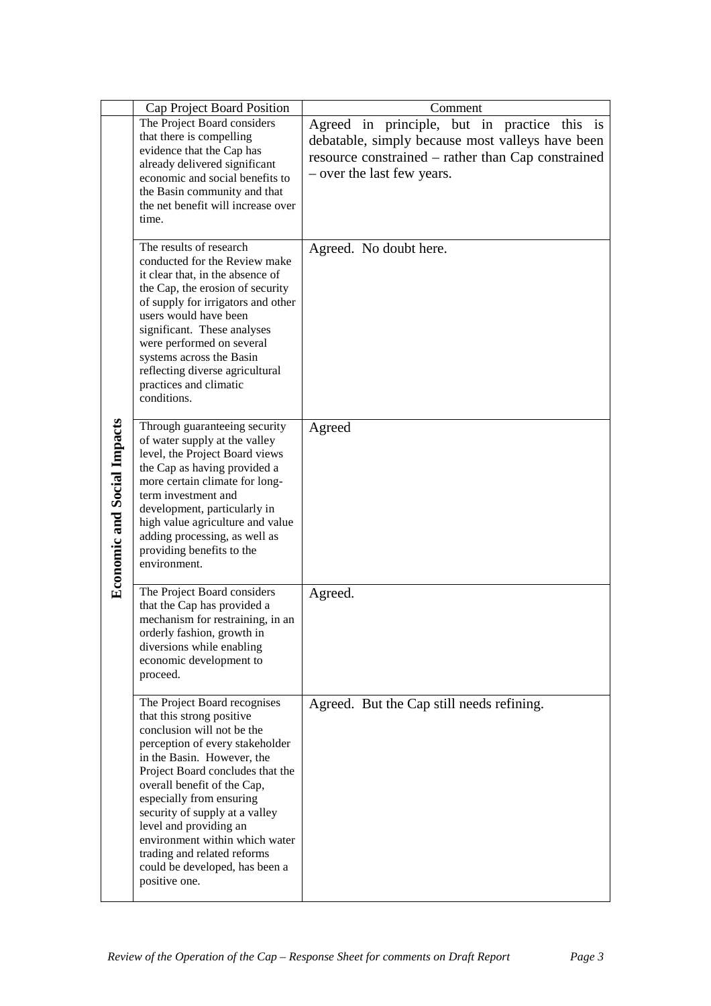|                                    | Cap Project Board Position                                                                                                                                                                                                                                                                                                                                                                                                              | Comment                                                                                                                                                                              |
|------------------------------------|-----------------------------------------------------------------------------------------------------------------------------------------------------------------------------------------------------------------------------------------------------------------------------------------------------------------------------------------------------------------------------------------------------------------------------------------|--------------------------------------------------------------------------------------------------------------------------------------------------------------------------------------|
| <b>Economic and Social Impacts</b> | The Project Board considers<br>that there is compelling<br>evidence that the Cap has<br>already delivered significant<br>economic and social benefits to<br>the Basin community and that<br>the net benefit will increase over<br>time.                                                                                                                                                                                                 | Agreed in principle, but in practice this is<br>debatable, simply because most valleys have been<br>resource constrained – rather than Cap constrained<br>- over the last few years. |
|                                    | The results of research<br>conducted for the Review make<br>it clear that, in the absence of<br>the Cap, the erosion of security<br>of supply for irrigators and other<br>users would have been<br>significant. These analyses<br>were performed on several<br>systems across the Basin<br>reflecting diverse agricultural<br>practices and climatic<br>conditions.                                                                     | Agreed. No doubt here.                                                                                                                                                               |
|                                    | Through guaranteeing security<br>of water supply at the valley<br>level, the Project Board views<br>the Cap as having provided a<br>more certain climate for long-<br>term investment and<br>development, particularly in<br>high value agriculture and value<br>adding processing, as well as<br>providing benefits to the<br>environment.                                                                                             | Agreed                                                                                                                                                                               |
|                                    | The Project Board considers<br>that the Cap has provided a<br>mechanism for restraining, in an<br>orderly fashion, growth in<br>diversions while enabling<br>economic development to<br>proceed.                                                                                                                                                                                                                                        | Agreed.                                                                                                                                                                              |
|                                    | The Project Board recognises<br>that this strong positive<br>conclusion will not be the<br>perception of every stakeholder<br>in the Basin. However, the<br>Project Board concludes that the<br>overall benefit of the Cap,<br>especially from ensuring<br>security of supply at a valley<br>level and providing an<br>environment within which water<br>trading and related reforms<br>could be developed, has been a<br>positive one. | Agreed. But the Cap still needs refining.                                                                                                                                            |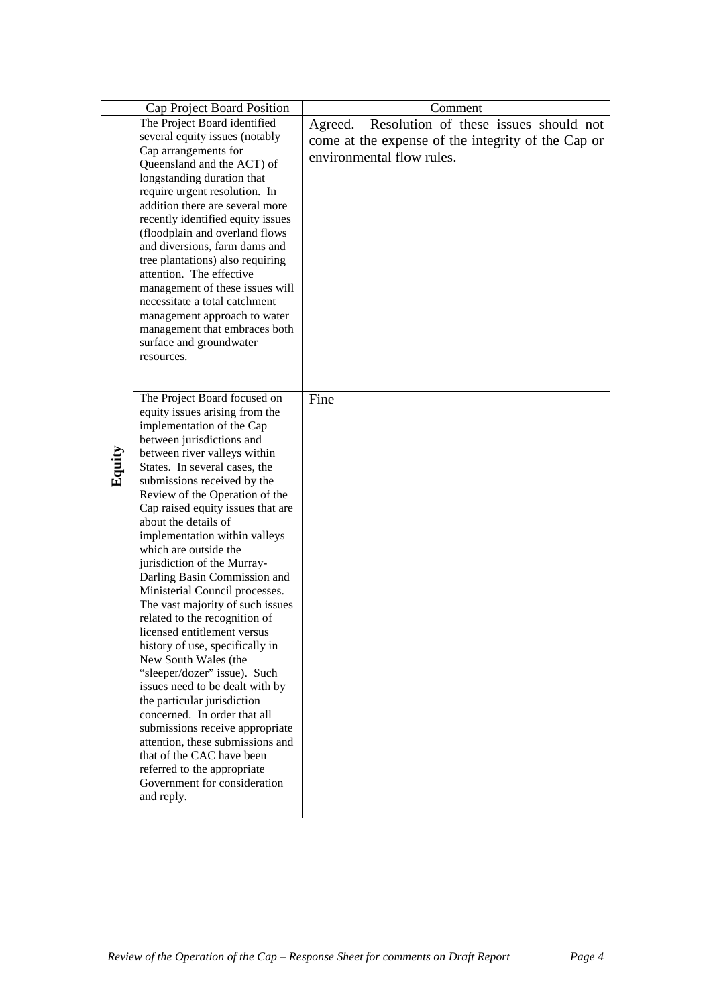|        | Cap Project Board Position                                       | Comment                                            |
|--------|------------------------------------------------------------------|----------------------------------------------------|
|        | The Project Board identified                                     | Resolution of these issues should not<br>Agreed.   |
|        | several equity issues (notably                                   | come at the expense of the integrity of the Cap or |
|        | Cap arrangements for                                             | environmental flow rules.                          |
|        | Queensland and the ACT) of                                       |                                                    |
|        | longstanding duration that                                       |                                                    |
|        | require urgent resolution. In<br>addition there are several more |                                                    |
|        | recently identified equity issues                                |                                                    |
|        | (floodplain and overland flows                                   |                                                    |
|        | and diversions, farm dams and                                    |                                                    |
|        | tree plantations) also requiring                                 |                                                    |
|        | attention. The effective                                         |                                                    |
|        | management of these issues will                                  |                                                    |
|        | necessitate a total catchment                                    |                                                    |
|        | management approach to water                                     |                                                    |
|        | management that embraces both<br>surface and groundwater         |                                                    |
|        | resources.                                                       |                                                    |
|        |                                                                  |                                                    |
|        |                                                                  |                                                    |
|        | The Project Board focused on                                     | Fine                                               |
|        | equity issues arising from the                                   |                                                    |
|        | implementation of the Cap                                        |                                                    |
|        | between jurisdictions and<br>between river valleys within        |                                                    |
| Equity | States. In several cases, the                                    |                                                    |
|        | submissions received by the                                      |                                                    |
|        | Review of the Operation of the                                   |                                                    |
|        | Cap raised equity issues that are                                |                                                    |
|        | about the details of                                             |                                                    |
|        | implementation within valleys                                    |                                                    |
|        | which are outside the                                            |                                                    |
|        | jurisdiction of the Murray-<br>Darling Basin Commission and      |                                                    |
|        | Ministerial Council processes.                                   |                                                    |
|        | The vast majority of such issues                                 |                                                    |
|        | related to the recognition of                                    |                                                    |
|        | licensed entitlement versus                                      |                                                    |
|        | history of use, specifically in                                  |                                                    |
|        | New South Wales (the                                             |                                                    |
|        | "sleeper/dozer" issue). Such                                     |                                                    |
|        | issues need to be dealt with by                                  |                                                    |
|        | the particular jurisdiction<br>concerned. In order that all      |                                                    |
|        | submissions receive appropriate                                  |                                                    |
|        | attention, these submissions and                                 |                                                    |
|        | that of the CAC have been                                        |                                                    |
|        | referred to the appropriate                                      |                                                    |
|        | Government for consideration                                     |                                                    |
|        | and reply.                                                       |                                                    |
|        |                                                                  |                                                    |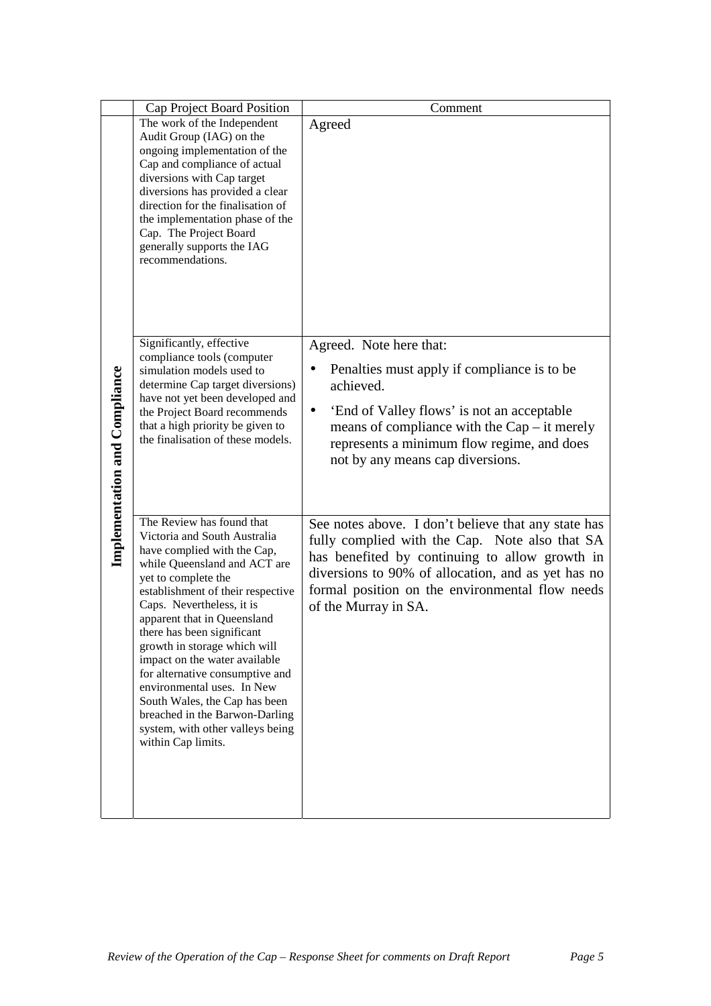|                                      | Cap Project Board Position                                                                                                                                                                                                                                                                                                                                                                                                                                                                                                                    | Comment                                                                                                                                                                                                                                                                                  |
|--------------------------------------|-----------------------------------------------------------------------------------------------------------------------------------------------------------------------------------------------------------------------------------------------------------------------------------------------------------------------------------------------------------------------------------------------------------------------------------------------------------------------------------------------------------------------------------------------|------------------------------------------------------------------------------------------------------------------------------------------------------------------------------------------------------------------------------------------------------------------------------------------|
| <b>Implementation and Compliance</b> | The work of the Independent<br>Audit Group (IAG) on the<br>ongoing implementation of the                                                                                                                                                                                                                                                                                                                                                                                                                                                      | Agreed                                                                                                                                                                                                                                                                                   |
|                                      | Cap and compliance of actual<br>diversions with Cap target<br>diversions has provided a clear<br>direction for the finalisation of<br>the implementation phase of the<br>Cap. The Project Board<br>generally supports the IAG<br>recommendations.                                                                                                                                                                                                                                                                                             |                                                                                                                                                                                                                                                                                          |
|                                      | Significantly, effective<br>compliance tools (computer<br>simulation models used to<br>determine Cap target diversions)<br>have not yet been developed and<br>the Project Board recommends<br>that a high priority be given to<br>the finalisation of these models.                                                                                                                                                                                                                                                                           | Agreed. Note here that:<br>Penalties must apply if compliance is to be<br>achieved.<br>'End of Valley flows' is not an acceptable<br>$\bullet$<br>means of compliance with the $Cap - it$ merely<br>represents a minimum flow regime, and does<br>not by any means cap diversions.       |
|                                      | The Review has found that<br>Victoria and South Australia<br>have complied with the Cap,<br>while Queensland and ACT are<br>yet to complete the<br>establishment of their respective<br>Caps. Nevertheless, it is<br>apparent that in Queensland<br>there has been significant<br>growth in storage which will<br>impact on the water available<br>for alternative consumptive and<br>environmental uses. In New<br>South Wales, the Cap has been<br>breached in the Barwon-Darling<br>system, with other valleys being<br>within Cap limits. | See notes above. I don't believe that any state has<br>fully complied with the Cap. Note also that SA<br>has benefited by continuing to allow growth in<br>diversions to 90% of allocation, and as yet has no<br>formal position on the environmental flow needs<br>of the Murray in SA. |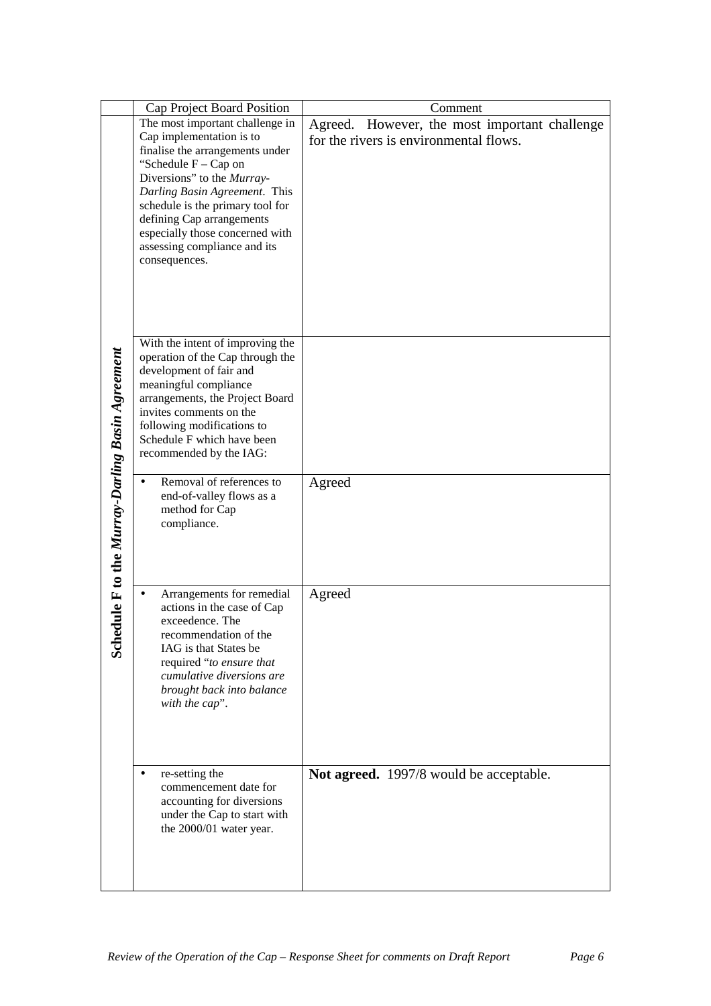|                                                     | Cap Project Board Position                                                                                                                                                                                                                                                                                                                                             | Comment                                                                                 |
|-----------------------------------------------------|------------------------------------------------------------------------------------------------------------------------------------------------------------------------------------------------------------------------------------------------------------------------------------------------------------------------------------------------------------------------|-----------------------------------------------------------------------------------------|
| dule F to the Murray-Darling Basin Agreement<br>Sch | The most important challenge in<br>Cap implementation is to<br>finalise the arrangements under<br>"Schedule $F - Cap$ on<br>Diversions" to the Murray-<br>Darling Basin Agreement. This<br>schedule is the primary tool for<br>defining Cap arrangements<br>especially those concerned with<br>assessing compliance and its<br>consequences.                           | Agreed. However, the most important challenge<br>for the rivers is environmental flows. |
|                                                     | With the intent of improving the<br>operation of the Cap through the<br>development of fair and<br>meaningful compliance<br>arrangements, the Project Board<br>invites comments on the<br>following modifications to<br>Schedule F which have been<br>recommended by the IAG:<br>Removal of references to<br>end-of-valley flows as a<br>method for Cap<br>compliance. | Agreed                                                                                  |
|                                                     | Arrangements for remedial<br>actions in the case of Cap<br>exceedence. The<br>recommendation of the<br>IAG is that States be<br>required "to ensure that<br>cumulative diversions are<br>brought back into balance<br>with the cap".<br>re-setting the<br>commencement date for<br>accounting for diversions                                                           | Agreed<br>Not agreed. 1997/8 would be acceptable.                                       |
|                                                     | under the Cap to start with<br>the 2000/01 water year.                                                                                                                                                                                                                                                                                                                 |                                                                                         |